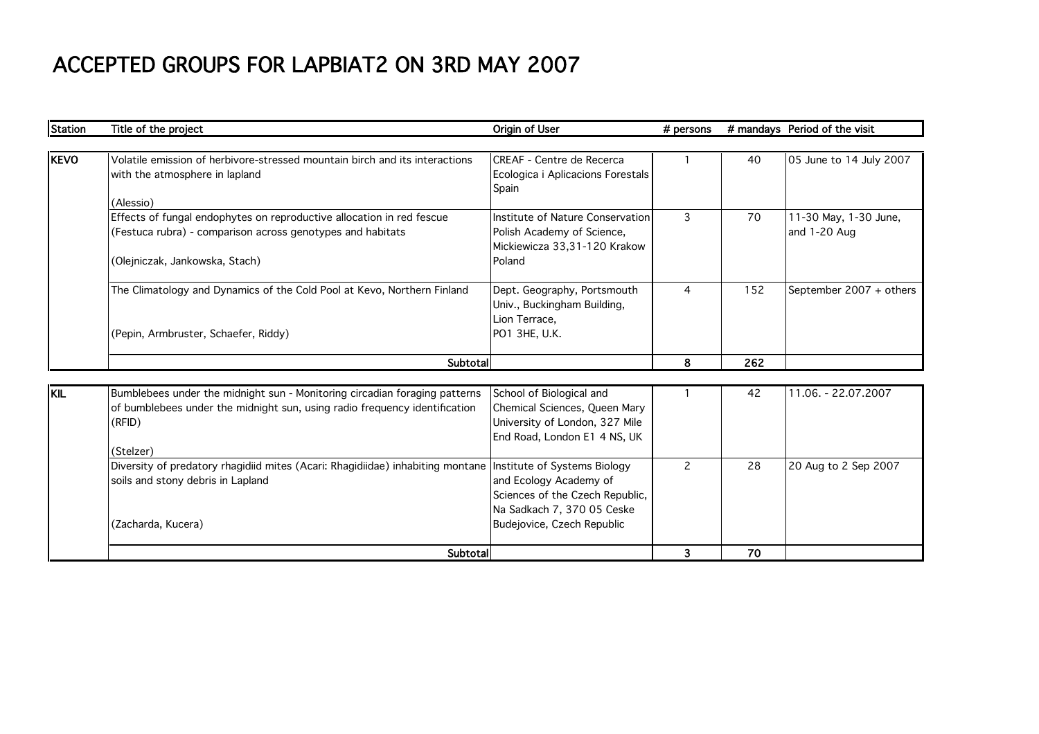## ACCEPTED GROUPS FOR LAPBIAT2 ON 3RD MAY 2007

| <b>Station</b> | Title of the project                                                                                                                                                            | Origin of User                                                                                                              | # persons      |     | # mandays Period of the visit         |
|----------------|---------------------------------------------------------------------------------------------------------------------------------------------------------------------------------|-----------------------------------------------------------------------------------------------------------------------------|----------------|-----|---------------------------------------|
|                |                                                                                                                                                                                 |                                                                                                                             |                |     |                                       |
| <b>KEVO</b>    | Volatile emission of herbivore-stressed mountain birch and its interactions<br>with the atmosphere in lapland<br>(Alessio)                                                      | <b>CREAF - Centre de Recerca</b><br>Ecologica i Aplicacions Forestals<br>Spain                                              |                | 40  | 05 June to 14 July 2007               |
|                | Effects of fungal endophytes on reproductive allocation in red fescue<br>(Festuca rubra) - comparison across genotypes and habitats<br>(Olejniczak, Jankowska, Stach)           | Institute of Nature Conservation<br>Polish Academy of Science,<br>Mickiewicza 33,31-120 Krakow<br>Poland                    | 3              | 70  | 11-30 May, 1-30 June,<br>and 1-20 Aug |
|                | The Climatology and Dynamics of the Cold Pool at Kevo, Northern Finland<br>(Pepin, Armbruster, Schaefer, Riddy)                                                                 | Dept. Geography, Portsmouth<br>Univ., Buckingham Building,<br>Lion Terrace,<br>PO1 3HE, U.K.                                | $\overline{4}$ | 152 | September 2007 + others               |
|                | Subtotal                                                                                                                                                                        |                                                                                                                             | 8              | 262 |                                       |
|                |                                                                                                                                                                                 |                                                                                                                             |                |     |                                       |
| <b>KIL</b>     | Bumblebees under the midnight sun - Monitoring circadian foraging patterns<br>of bumblebees under the midnight sun, using radio frequency identification<br>(RFID)<br>(Stelzer) | School of Biological and<br>Chemical Sciences, Queen Mary<br>University of London, 327 Mile<br>End Road, London E1 4 NS, UK |                | 42  | 11.06. - 22.07.2007                   |
|                | Diversity of predatory rhagidiid mites (Acari: Rhagidiidae) inhabiting montane   Institute of Systems Biology<br>soils and stony debris in Lapland<br>(Zacharda, Kucera)        | and Ecology Academy of<br>Sciences of the Czech Republic,<br>Na Sadkach 7, 370 05 Ceske<br>Budejovice, Czech Republic       | 2              | 28  | 20 Aug to 2 Sep 2007                  |
|                | Subtotal                                                                                                                                                                        |                                                                                                                             | 3              | 70  |                                       |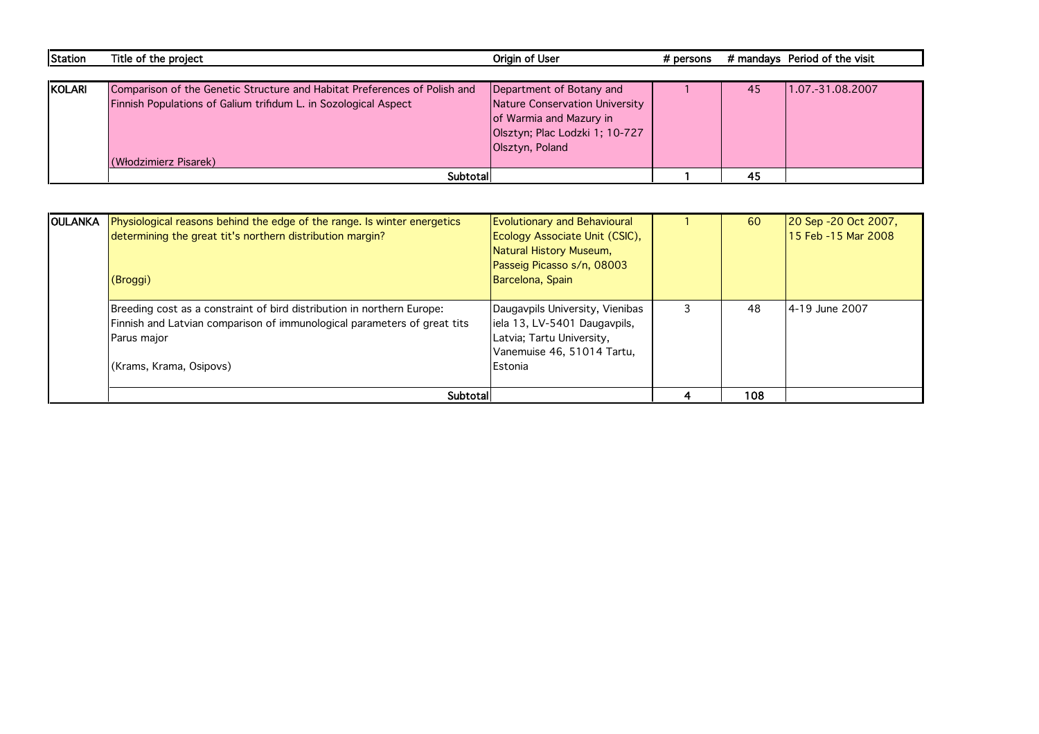| Station | Title of the project                                                      | Origin of User                 | # persons |    | # mandays Period of the visit |
|---------|---------------------------------------------------------------------------|--------------------------------|-----------|----|-------------------------------|
|         |                                                                           |                                |           |    |                               |
| KOLARI  | Comparison of the Genetic Structure and Habitat Preferences of Polish and | Department of Botany and       |           | 45 | 1.07.-31.08.2007              |
|         | Finnish Populations of Galium trifidum L. in Sozological Aspect           | Nature Conservation University |           |    |                               |
|         |                                                                           | of Warmia and Mazury in        |           |    |                               |
|         |                                                                           | Olsztyn; Plac Lodzki 1; 10-727 |           |    |                               |
|         |                                                                           | Olsztyn, Poland                |           |    |                               |
|         | (Włodzimierz Pisarek)                                                     |                                |           |    |                               |
|         | Subtotall                                                                 |                                |           | 45 |                               |

|                | Subtotal                                                                 |                                                         | 108 |                      |
|----------------|--------------------------------------------------------------------------|---------------------------------------------------------|-----|----------------------|
|                | (Krams, Krama, Osipovs)                                                  | Estonia                                                 |     |                      |
|                | Parus major                                                              | Latvia; Tartu University,<br>Vanemuise 46, 51014 Tartu, |     |                      |
|                | Finnish and Latvian comparison of immunological parameters of great tits | iela 13, LV-5401 Daugavpils,                            |     |                      |
|                | Breeding cost as a constraint of bird distribution in northern Europe:   | Daugavpils University, Vienibas                         | 48  | 4-19 June 2007       |
|                | (Broggi)                                                                 | Barcelona, Spain                                        |     |                      |
|                |                                                                          | Passeig Picasso s/n, 08003                              |     |                      |
|                |                                                                          | Natural History Museum,                                 |     |                      |
|                | determining the great tit's northern distribution margin?                | Ecology Associate Unit (CSIC),                          |     | 15 Feb -15 Mar 2008  |
| <b>OULANKA</b> | Physiological reasons behind the edge of the range. Is winter energetics | <b>Evolutionary and Behavioural</b>                     | 60  | 20 Sep -20 Oct 2007, |